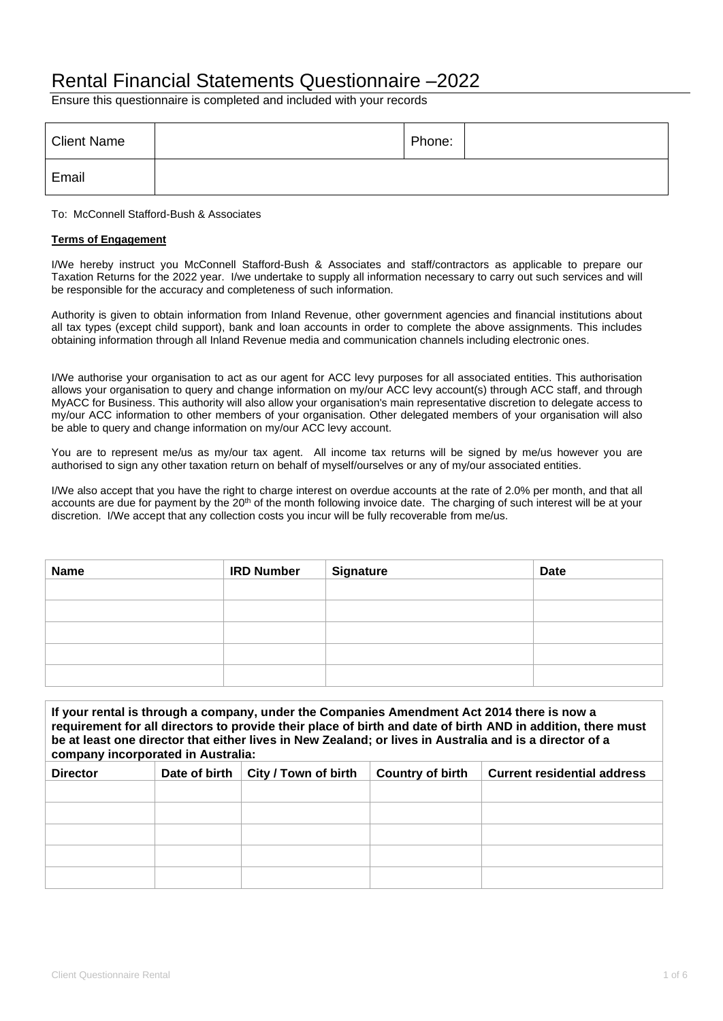## Rental Financial Statements Questionnaire –2022

Ensure this questionnaire is completed and included with your records

| <b>Client Name</b> | Phone: |  |
|--------------------|--------|--|
| Email              |        |  |

To: McConnell Stafford-Bush & Associates

## **Terms of Engagement**

I/We hereby instruct you McConnell Stafford-Bush & Associates and staff/contractors as applicable to prepare our Taxation Returns for the 2022 year. I/we undertake to supply all information necessary to carry out such services and will be responsible for the accuracy and completeness of such information.

Authority is given to obtain information from Inland Revenue, other government agencies and financial institutions about all tax types (except child support), bank and loan accounts in order to complete the above assignments. This includes obtaining information through all Inland Revenue media and communication channels including electronic ones.

I/We authorise your organisation to act as our agent for ACC levy purposes for all associated entities. This authorisation allows your organisation to query and change information on my/our ACC levy account(s) through ACC staff, and through MyACC for Business. This authority will also allow your organisation's main representative discretion to delegate access to my/our ACC information to other members of your organisation. Other delegated members of your organisation will also be able to query and change information on my/our ACC levy account.

You are to represent me/us as my/our tax agent. All income tax returns will be signed by me/us however you are authorised to sign any other taxation return on behalf of myself/ourselves or any of my/our associated entities.

I/We also accept that you have the right to charge interest on overdue accounts at the rate of 2.0% per month, and that all accounts are due for payment by the 20<sup>th</sup> of the month following invoice date. The charging of such interest will be at your discretion. I/We accept that any collection costs you incur will be fully recoverable from me/us.

| <b>Name</b> | <b>IRD Number</b> | <b>Signature</b> | <b>Date</b> |
|-------------|-------------------|------------------|-------------|
|             |                   |                  |             |
|             |                   |                  |             |
|             |                   |                  |             |
|             |                   |                  |             |
|             |                   |                  |             |

| If your rental is through a company, under the Companies Amendment Act 2014 there is now a<br>requirement for all directors to provide their place of birth and date of birth AND in addition, there must<br>be at least one director that either lives in New Zealand; or lives in Australia and is a director of a<br>company incorporated in Australia: |               |                      |                         |                                    |  |
|------------------------------------------------------------------------------------------------------------------------------------------------------------------------------------------------------------------------------------------------------------------------------------------------------------------------------------------------------------|---------------|----------------------|-------------------------|------------------------------------|--|
| <b>Director</b>                                                                                                                                                                                                                                                                                                                                            | Date of birth | City / Town of birth | <b>Country of birth</b> | <b>Current residential address</b> |  |
|                                                                                                                                                                                                                                                                                                                                                            |               |                      |                         |                                    |  |
|                                                                                                                                                                                                                                                                                                                                                            |               |                      |                         |                                    |  |
|                                                                                                                                                                                                                                                                                                                                                            |               |                      |                         |                                    |  |
|                                                                                                                                                                                                                                                                                                                                                            |               |                      |                         |                                    |  |
|                                                                                                                                                                                                                                                                                                                                                            |               |                      |                         |                                    |  |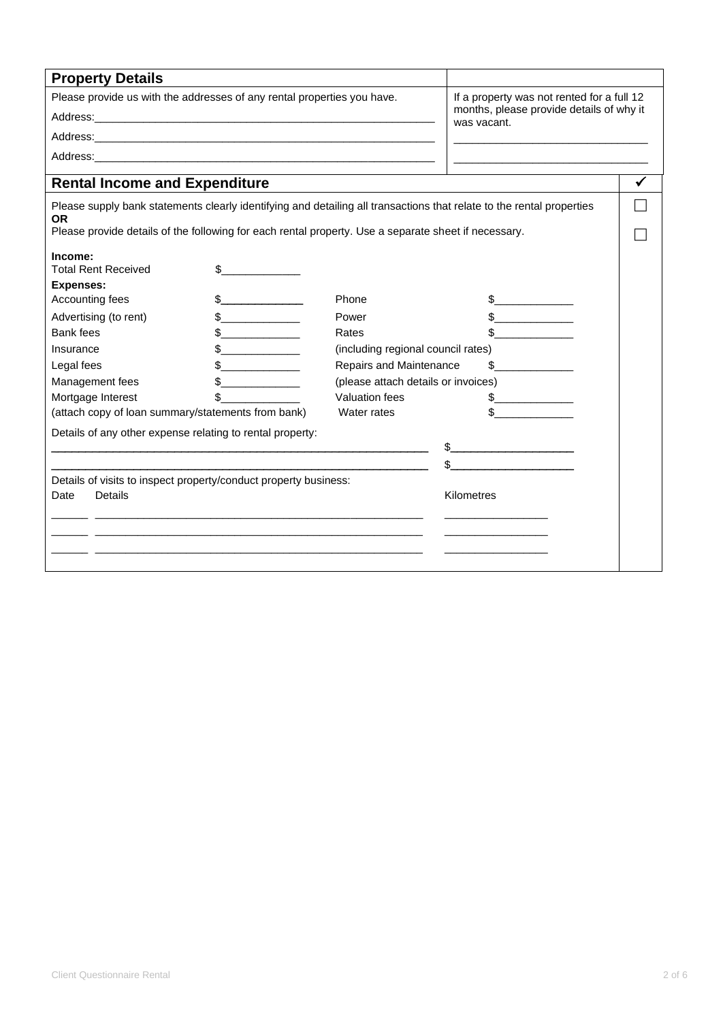| <b>Property Details</b>                                                                              |                                                                                                                     |                                                         |                                                                                                                       |   |
|------------------------------------------------------------------------------------------------------|---------------------------------------------------------------------------------------------------------------------|---------------------------------------------------------|-----------------------------------------------------------------------------------------------------------------------|---|
| Please provide us with the addresses of any rental properties you have.                              |                                                                                                                     | If a property was not rented for a full 12              |                                                                                                                       |   |
|                                                                                                      |                                                                                                                     | months, please provide details of why it<br>was vacant. |                                                                                                                       |   |
|                                                                                                      |                                                                                                                     |                                                         |                                                                                                                       |   |
|                                                                                                      |                                                                                                                     |                                                         |                                                                                                                       |   |
| <b>Rental Income and Expenditure</b>                                                                 |                                                                                                                     |                                                         |                                                                                                                       | ✓ |
|                                                                                                      |                                                                                                                     |                                                         |                                                                                                                       |   |
| <b>OR</b>                                                                                            |                                                                                                                     |                                                         | Please supply bank statements clearly identifying and detailing all transactions that relate to the rental properties |   |
| Please provide details of the following for each rental property. Use a separate sheet if necessary. |                                                                                                                     |                                                         |                                                                                                                       |   |
| Income:                                                                                              |                                                                                                                     |                                                         |                                                                                                                       |   |
| <b>Total Rent Received</b>                                                                           |                                                                                                                     |                                                         |                                                                                                                       |   |
| <b>Expenses:</b>                                                                                     |                                                                                                                     |                                                         |                                                                                                                       |   |
| Accounting fees                                                                                      | $\frac{1}{2}$                                                                                                       | Phone                                                   | $\frac{1}{2}$                                                                                                         |   |
| Advertising (to rent)                                                                                | $\frac{1}{2}$                                                                                                       | Power                                                   | $\frac{1}{\sqrt{2}}$                                                                                                  |   |
| Bank fees                                                                                            | $\frac{1}{\sqrt{2}}$                                                                                                | Rates                                                   |                                                                                                                       |   |
| Insurance                                                                                            |                                                                                                                     | (including regional council rates)                      |                                                                                                                       |   |
| Legal fees                                                                                           | $\frac{1}{2}$                                                                                                       | Repairs and Maintenance                                 | \$                                                                                                                    |   |
| Management fees                                                                                      |                                                                                                                     | (please attach details or invoices)                     |                                                                                                                       |   |
| Mortgage Interest                                                                                    |                                                                                                                     | Valuation fees                                          | $\frac{1}{\sqrt{2}}$                                                                                                  |   |
| (attach copy of loan summary/statements from bank)                                                   |                                                                                                                     | Water rates                                             |                                                                                                                       |   |
| Details of any other expense relating to rental property:                                            |                                                                                                                     |                                                         |                                                                                                                       |   |
|                                                                                                      |                                                                                                                     |                                                         | $\frac{1}{2}$                                                                                                         |   |
|                                                                                                      |                                                                                                                     |                                                         |                                                                                                                       |   |
| Details of visits to inspect property/conduct property business:                                     |                                                                                                                     |                                                         |                                                                                                                       |   |
| <b>Details</b><br>Date                                                                               |                                                                                                                     |                                                         | Kilometres                                                                                                            |   |
|                                                                                                      | <u> 1989 - Johann John Stoff, deutscher Stoffen und der Stoffen und der Stoffen und der Stoffen und der Stoffen</u> |                                                         |                                                                                                                       |   |
|                                                                                                      |                                                                                                                     |                                                         |                                                                                                                       |   |
|                                                                                                      |                                                                                                                     |                                                         |                                                                                                                       |   |
|                                                                                                      |                                                                                                                     |                                                         |                                                                                                                       |   |
|                                                                                                      |                                                                                                                     |                                                         |                                                                                                                       |   |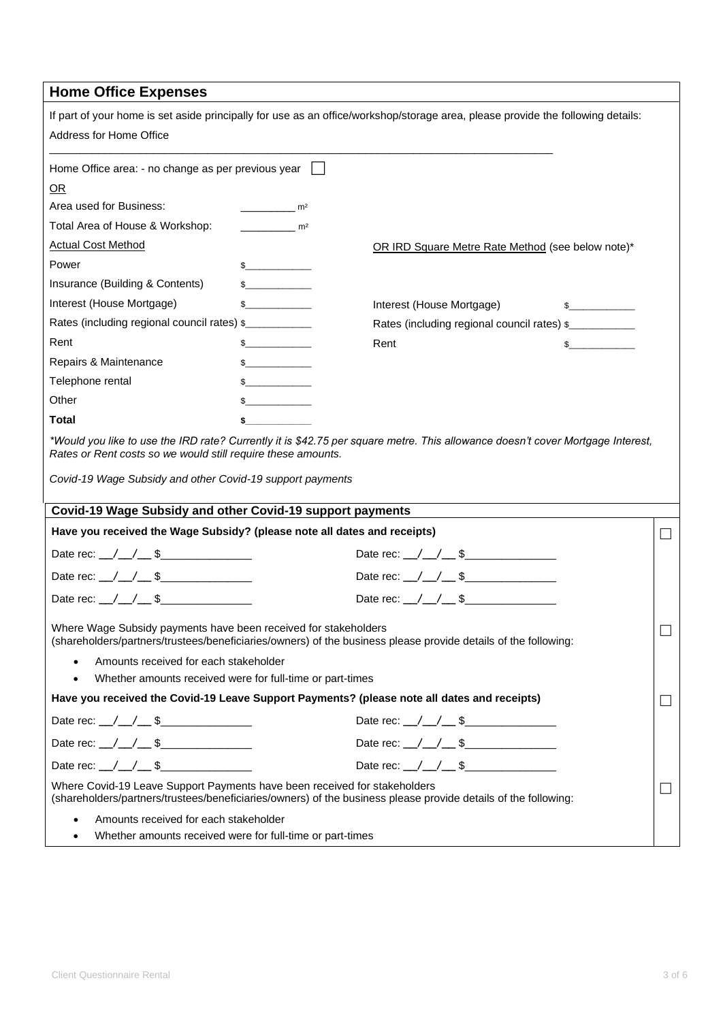## **Home Office Expenses**

| Address for Home Office                                                                                                                                                                |                                               | If part of your home is set aside principally for use as an office/workshop/storage area, please provide the following details: |              |   |
|----------------------------------------------------------------------------------------------------------------------------------------------------------------------------------------|-----------------------------------------------|---------------------------------------------------------------------------------------------------------------------------------|--------------|---|
| Home Office area: - no change as per previous year                                                                                                                                     |                                               |                                                                                                                                 |              |   |
| OR                                                                                                                                                                                     |                                               |                                                                                                                                 |              |   |
| Area used for Business:                                                                                                                                                                | m <sup>2</sup>                                |                                                                                                                                 |              |   |
| Total Area of House & Workshop:                                                                                                                                                        | m <sup>2</sup>                                |                                                                                                                                 |              |   |
| <b>Actual Cost Method</b>                                                                                                                                                              |                                               | OR IRD Square Metre Rate Method (see below note)*                                                                               |              |   |
| Power                                                                                                                                                                                  | $\frac{1}{2}$                                 |                                                                                                                                 |              |   |
| Insurance (Building & Contents)                                                                                                                                                        | $\begin{array}{c} \text{\bf $s$} \end{array}$ |                                                                                                                                 |              |   |
| Interest (House Mortgage)                                                                                                                                                              | s                                             | Interest (House Mortgage)                                                                                                       |              |   |
| Rates (including regional council rates) \$                                                                                                                                            |                                               | Rates (including regional council rates) \$                                                                                     |              |   |
| Rent                                                                                                                                                                                   | $\frac{1}{2}$                                 | Rent                                                                                                                            | $\mathbb{S}$ |   |
| Repairs & Maintenance                                                                                                                                                                  | $\frac{1}{2}$                                 |                                                                                                                                 |              |   |
| Telephone rental                                                                                                                                                                       | $\mathbb{S}$                                  |                                                                                                                                 |              |   |
| Other                                                                                                                                                                                  | $\frac{1}{2}$                                 |                                                                                                                                 |              |   |
| Total                                                                                                                                                                                  | \$                                            |                                                                                                                                 |              |   |
| Rates or Rent costs so we would still require these amounts.<br>Covid-19 Wage Subsidy and other Covid-19 support payments<br>Covid-19 Wage Subsidy and other Covid-19 support payments |                                               | *Would you like to use the IRD rate? Currently it is \$42.75 per square metre. This allowance doesn't cover Mortgage Interest,  |              |   |
| Have you received the Wage Subsidy? (please note all dates and receipts)                                                                                                               |                                               |                                                                                                                                 |              | П |
| Date rec: $\angle$ / $\angle$ \$                                                                                                                                                       |                                               |                                                                                                                                 |              |   |
| Date rec: $\angle$ / $\angle$ \$                                                                                                                                                       |                                               | Date rec: \_/ \_/ \_ \$                                                                                                         |              |   |
| Date rec: $\angle$ / $\angle$ \$                                                                                                                                                       |                                               |                                                                                                                                 |              |   |
| Where Wage Subsidy payments have been received for stakeholders                                                                                                                        |                                               | (shareholders/partners/trustees/beneficiaries/owners) of the business please provide details of the following:                  |              |   |
| Amounts received for each stakeholder                                                                                                                                                  |                                               |                                                                                                                                 |              |   |
| Whether amounts received were for full-time or part-times<br>$\bullet$                                                                                                                 |                                               |                                                                                                                                 |              |   |
|                                                                                                                                                                                        |                                               | Have you received the Covid-19 Leave Support Payments? (please note all dates and receipts)                                     |              |   |
| Date rec: $\angle$ / $\angle$ \$                                                                                                                                                       |                                               | Date rec: $\angle$ / $\angle$ \$                                                                                                |              |   |
| Date rec: $\angle$ / $\angle$ \$                                                                                                                                                       |                                               | Date rec: $\angle$ / $\angle$ \$                                                                                                |              |   |
| Date rec: $\angle$ / $\angle$ \$                                                                                                                                                       |                                               | Date rec: $\angle$ / $\angle$ \$                                                                                                |              |   |
| Where Covid-19 Leave Support Payments have been received for stakeholders                                                                                                              |                                               | (shareholders/partners/trustees/beneficiaries/owners) of the business please provide details of the following:                  |              |   |
| Amounts received for each stakeholder                                                                                                                                                  |                                               |                                                                                                                                 |              |   |
| Whether amounts received were for full-time or part-times                                                                                                                              |                                               |                                                                                                                                 |              |   |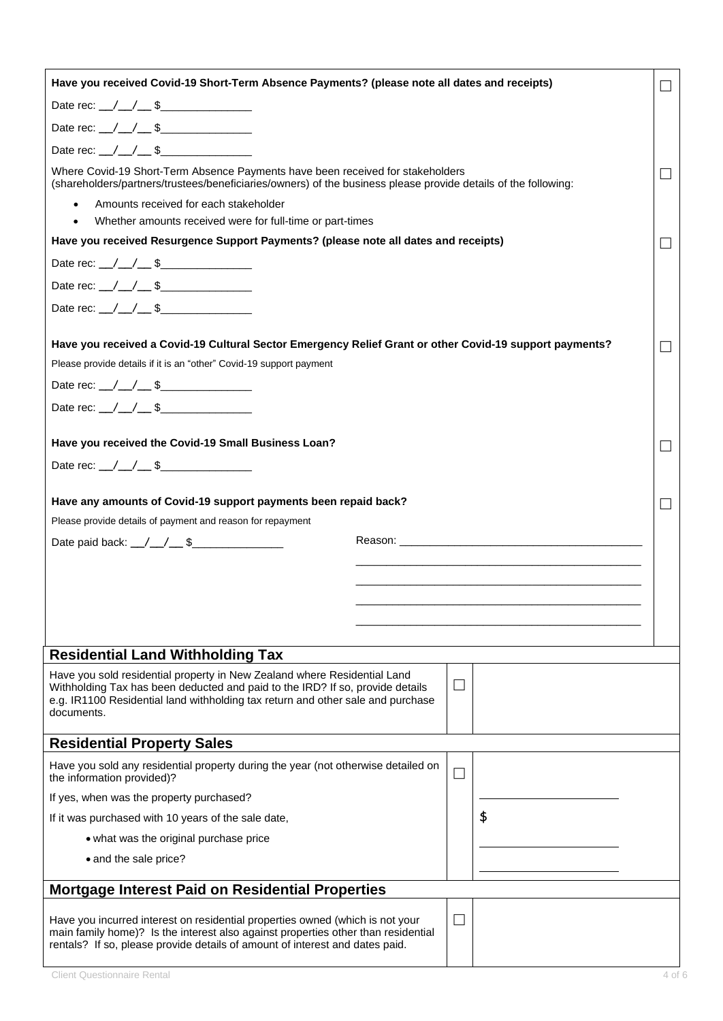| Have you received Covid-19 Short-Term Absence Payments? (please note all dates and receipts)                                                                                                                                                               |  |              |                                                                                                                                                                                                                                |        |
|------------------------------------------------------------------------------------------------------------------------------------------------------------------------------------------------------------------------------------------------------------|--|--------------|--------------------------------------------------------------------------------------------------------------------------------------------------------------------------------------------------------------------------------|--------|
| Date rec: $\angle$ / $\angle$ \$                                                                                                                                                                                                                           |  |              |                                                                                                                                                                                                                                |        |
|                                                                                                                                                                                                                                                            |  |              |                                                                                                                                                                                                                                |        |
| Date rec: $/ / $ \$                                                                                                                                                                                                                                        |  |              |                                                                                                                                                                                                                                |        |
| Where Covid-19 Short-Term Absence Payments have been received for stakeholders<br>(shareholders/partners/trustees/beneficiaries/owners) of the business please provide details of the following:                                                           |  |              |                                                                                                                                                                                                                                |        |
| Amounts received for each stakeholder<br>$\bullet$<br>Whether amounts received were for full-time or part-times<br>$\bullet$                                                                                                                               |  |              |                                                                                                                                                                                                                                |        |
| Have you received Resurgence Support Payments? (please note all dates and receipts)                                                                                                                                                                        |  |              |                                                                                                                                                                                                                                | $\Box$ |
| Date rec: $\angle$ / $\angle$ \$                                                                                                                                                                                                                           |  |              |                                                                                                                                                                                                                                |        |
| Date rec: $\angle$ / $\angle$ \$                                                                                                                                                                                                                           |  |              |                                                                                                                                                                                                                                |        |
| Date rec: $\angle$ / $\angle$ \$                                                                                                                                                                                                                           |  |              |                                                                                                                                                                                                                                |        |
|                                                                                                                                                                                                                                                            |  |              |                                                                                                                                                                                                                                |        |
| Have you received a Covid-19 Cultural Sector Emergency Relief Grant or other Covid-19 support payments?                                                                                                                                                    |  |              |                                                                                                                                                                                                                                |        |
| Please provide details if it is an "other" Covid-19 support payment                                                                                                                                                                                        |  |              |                                                                                                                                                                                                                                |        |
| Date rec: $\angle$ / $\angle$ \$                                                                                                                                                                                                                           |  |              |                                                                                                                                                                                                                                |        |
| Date rec: $\angle$ / $\angle$ \$                                                                                                                                                                                                                           |  |              |                                                                                                                                                                                                                                |        |
| Have you received the Covid-19 Small Business Loan?                                                                                                                                                                                                        |  |              |                                                                                                                                                                                                                                |        |
| Date rec: $\angle$ / $\angle$ \$                                                                                                                                                                                                                           |  |              |                                                                                                                                                                                                                                |        |
| Have any amounts of Covid-19 support payments been repaid back?<br>Please provide details of payment and reason for repayment                                                                                                                              |  |              |                                                                                                                                                                                                                                |        |
| Date paid back: _/_/_/__\$______________                                                                                                                                                                                                                   |  |              | Reason: The contract of the contract of the contract of the contract of the contract of the contract of the contract of the contract of the contract of the contract of the contract of the contract of the contract of the co |        |
|                                                                                                                                                                                                                                                            |  |              |                                                                                                                                                                                                                                |        |
|                                                                                                                                                                                                                                                            |  |              |                                                                                                                                                                                                                                |        |
|                                                                                                                                                                                                                                                            |  |              |                                                                                                                                                                                                                                |        |
|                                                                                                                                                                                                                                                            |  |              |                                                                                                                                                                                                                                |        |
| <b>Residential Land Withholding Tax</b>                                                                                                                                                                                                                    |  |              |                                                                                                                                                                                                                                |        |
| Have you sold residential property in New Zealand where Residential Land<br>Withholding Tax has been deducted and paid to the IRD? If so, provide details<br>e.g. IR1100 Residential land withholding tax return and other sale and purchase<br>documents. |  | $\mathbf{L}$ |                                                                                                                                                                                                                                |        |
| <b>Residential Property Sales</b>                                                                                                                                                                                                                          |  |              |                                                                                                                                                                                                                                |        |
| Have you sold any residential property during the year (not otherwise detailed on<br>the information provided)?                                                                                                                                            |  | $\Box$       |                                                                                                                                                                                                                                |        |
| If yes, when was the property purchased?                                                                                                                                                                                                                   |  |              |                                                                                                                                                                                                                                |        |
| If it was purchased with 10 years of the sale date,                                                                                                                                                                                                        |  |              | \$                                                                                                                                                                                                                             |        |
| • what was the original purchase price                                                                                                                                                                                                                     |  |              |                                                                                                                                                                                                                                |        |
| • and the sale price?                                                                                                                                                                                                                                      |  |              |                                                                                                                                                                                                                                |        |
| Mortgage Interest Paid on Residential Properties                                                                                                                                                                                                           |  |              |                                                                                                                                                                                                                                |        |
| Have you incurred interest on residential properties owned (which is not your<br>main family home)? Is the interest also against properties other than residential<br>rentals? If so, please provide details of amount of interest and dates paid.         |  | $\mathbf{L}$ |                                                                                                                                                                                                                                |        |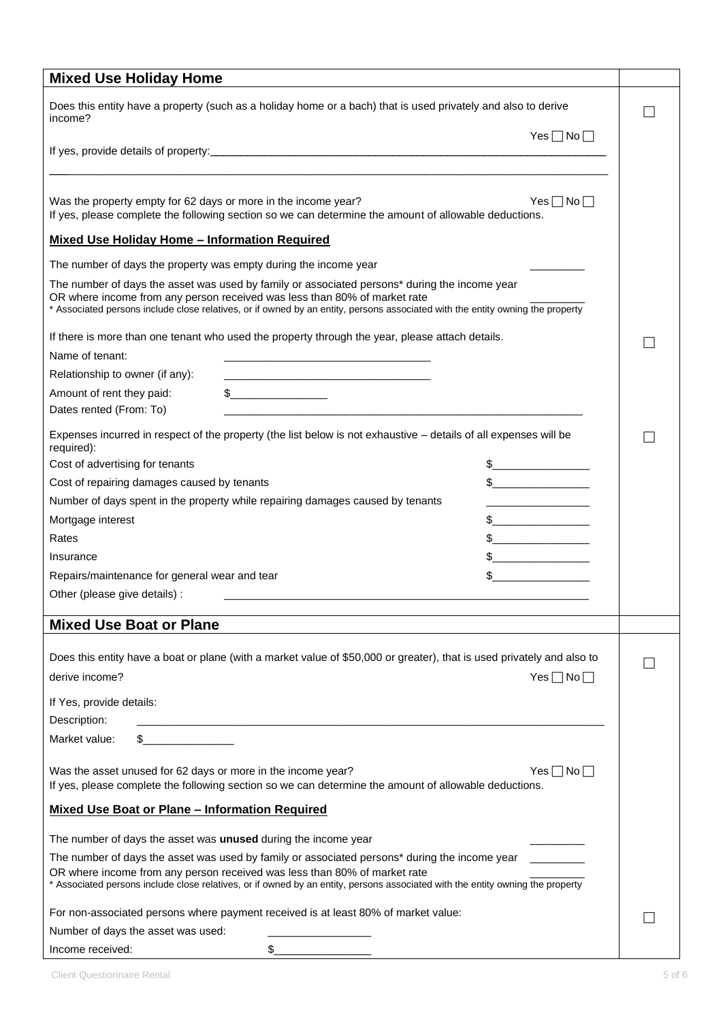| <b>Mixed Use Holiday Home</b>                                                      |                                                                                                                                                                                                                                                                                                                                                                     |  |
|------------------------------------------------------------------------------------|---------------------------------------------------------------------------------------------------------------------------------------------------------------------------------------------------------------------------------------------------------------------------------------------------------------------------------------------------------------------|--|
| income?                                                                            | Does this entity have a property (such as a holiday home or a bach) that is used privately and also to derive                                                                                                                                                                                                                                                       |  |
|                                                                                    | $Yes \Box No \Box$                                                                                                                                                                                                                                                                                                                                                  |  |
| Was the property empty for 62 days or more in the income year?                     | Yes $\Box$ No $\Box$<br>If yes, please complete the following section so we can determine the amount of allowable deductions.                                                                                                                                                                                                                                       |  |
| <b>Mixed Use Holiday Home - Information Required</b>                               |                                                                                                                                                                                                                                                                                                                                                                     |  |
| The number of days the property was empty during the income year                   |                                                                                                                                                                                                                                                                                                                                                                     |  |
| OR where income from any person received was less than 80% of market rate          | The number of days the asset was used by family or associated persons* during the income year<br>* Associated persons include close relatives, or if owned by an entity, persons associated with the entity owning the property                                                                                                                                     |  |
|                                                                                    | If there is more than one tenant who used the property through the year, please attach details.                                                                                                                                                                                                                                                                     |  |
| Name of tenant:                                                                    |                                                                                                                                                                                                                                                                                                                                                                     |  |
| Relationship to owner (if any):                                                    |                                                                                                                                                                                                                                                                                                                                                                     |  |
| Amount of rent they paid:<br>Dates rented (From: To)                               | $\begin{picture}(20,10) \put(0,0){\vector(1,0){100}} \put(15,0){\vector(1,0){100}} \put(15,0){\vector(1,0){100}} \put(15,0){\vector(1,0){100}} \put(15,0){\vector(1,0){100}} \put(15,0){\vector(1,0){100}} \put(15,0){\vector(1,0){100}} \put(15,0){\vector(1,0){100}} \put(15,0){\vector(1,0){100}} \put(15,0){\vector(1,0){100}} \put(15,0){\vector(1,0){100}} \$ |  |
| required):                                                                         | Expenses incurred in respect of the property (the list below is not exhaustive - details of all expenses will be                                                                                                                                                                                                                                                    |  |
| Cost of advertising for tenants                                                    | $\frac{1}{2}$                                                                                                                                                                                                                                                                                                                                                       |  |
| Cost of repairing damages caused by tenants                                        | $s$ ______________                                                                                                                                                                                                                                                                                                                                                  |  |
| Number of days spent in the property while repairing damages caused by tenants     |                                                                                                                                                                                                                                                                                                                                                                     |  |
| Mortgage interest                                                                  |                                                                                                                                                                                                                                                                                                                                                                     |  |
| Rates                                                                              |                                                                                                                                                                                                                                                                                                                                                                     |  |
| Insurance                                                                          | <u> 1999 - Johann Barbara, martin basa</u>                                                                                                                                                                                                                                                                                                                          |  |
| Repairs/maintenance for general wear and tear                                      | $\frac{1}{2}$                                                                                                                                                                                                                                                                                                                                                       |  |
| Other (please give details) :                                                      |                                                                                                                                                                                                                                                                                                                                                                     |  |
|                                                                                    |                                                                                                                                                                                                                                                                                                                                                                     |  |
| <b>Mixed Use Boat or Plane</b>                                                     |                                                                                                                                                                                                                                                                                                                                                                     |  |
| derive income?                                                                     | Does this entity have a boat or plane (with a market value of \$50,000 or greater), that is used privately and also to<br>$Yes \Box No \Box$                                                                                                                                                                                                                        |  |
|                                                                                    |                                                                                                                                                                                                                                                                                                                                                                     |  |
| If Yes, provide details:                                                           |                                                                                                                                                                                                                                                                                                                                                                     |  |
| Description:                                                                       | <u> 1989 - Johann Harry Harry Harry Harry Harry Harry Harry Harry Harry Harry Harry Harry Harry Harry Harry Harry</u>                                                                                                                                                                                                                                               |  |
| Market value:                                                                      |                                                                                                                                                                                                                                                                                                                                                                     |  |
| Was the asset unused for 62 days or more in the income year?                       | $Yes \Box No \Box$<br>If yes, please complete the following section so we can determine the amount of allowable deductions.                                                                                                                                                                                                                                         |  |
| <b>Mixed Use Boat or Plane - Information Required</b>                              |                                                                                                                                                                                                                                                                                                                                                                     |  |
| The number of days the asset was unused during the income year                     |                                                                                                                                                                                                                                                                                                                                                                     |  |
|                                                                                    | The number of days the asset was used by family or associated persons* during the income year                                                                                                                                                                                                                                                                       |  |
| OR where income from any person received was less than 80% of market rate          | * Associated persons include close relatives, or if owned by an entity, persons associated with the entity owning the property                                                                                                                                                                                                                                      |  |
| For non-associated persons where payment received is at least 80% of market value: |                                                                                                                                                                                                                                                                                                                                                                     |  |
| Number of days the asset was used:                                                 |                                                                                                                                                                                                                                                                                                                                                                     |  |
| Income received:                                                                   | \$_                                                                                                                                                                                                                                                                                                                                                                 |  |